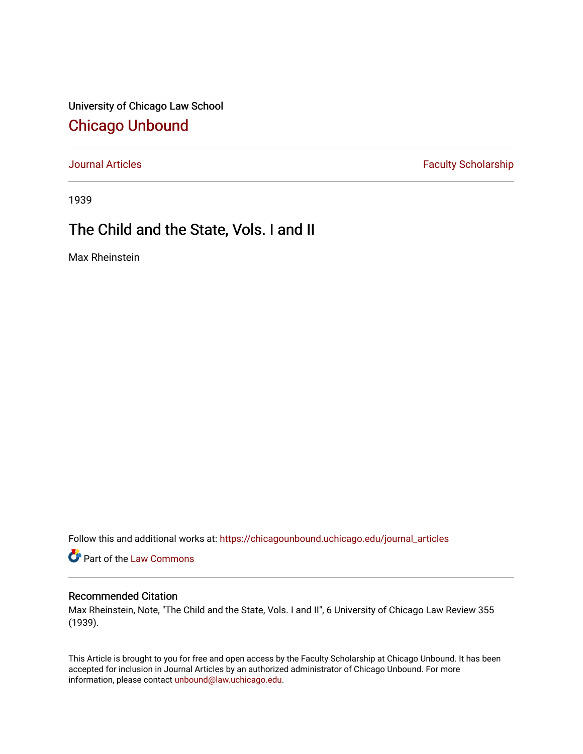University of Chicago Law School [Chicago Unbound](https://chicagounbound.uchicago.edu/)

[Journal Articles](https://chicagounbound.uchicago.edu/journal_articles) **Faculty Scholarship Faculty Scholarship** 

1939

## The Child and the State, Vols. I and II

Max Rheinstein

Follow this and additional works at: [https://chicagounbound.uchicago.edu/journal\\_articles](https://chicagounbound.uchicago.edu/journal_articles?utm_source=chicagounbound.uchicago.edu%2Fjournal_articles%2F9437&utm_medium=PDF&utm_campaign=PDFCoverPages) 

Part of the [Law Commons](http://network.bepress.com/hgg/discipline/578?utm_source=chicagounbound.uchicago.edu%2Fjournal_articles%2F9437&utm_medium=PDF&utm_campaign=PDFCoverPages)

## Recommended Citation

Max Rheinstein, Note, "The Child and the State, Vols. I and II", 6 University of Chicago Law Review 355 (1939).

This Article is brought to you for free and open access by the Faculty Scholarship at Chicago Unbound. It has been accepted for inclusion in Journal Articles by an authorized administrator of Chicago Unbound. For more information, please contact [unbound@law.uchicago.edu](mailto:unbound@law.uchicago.edu).